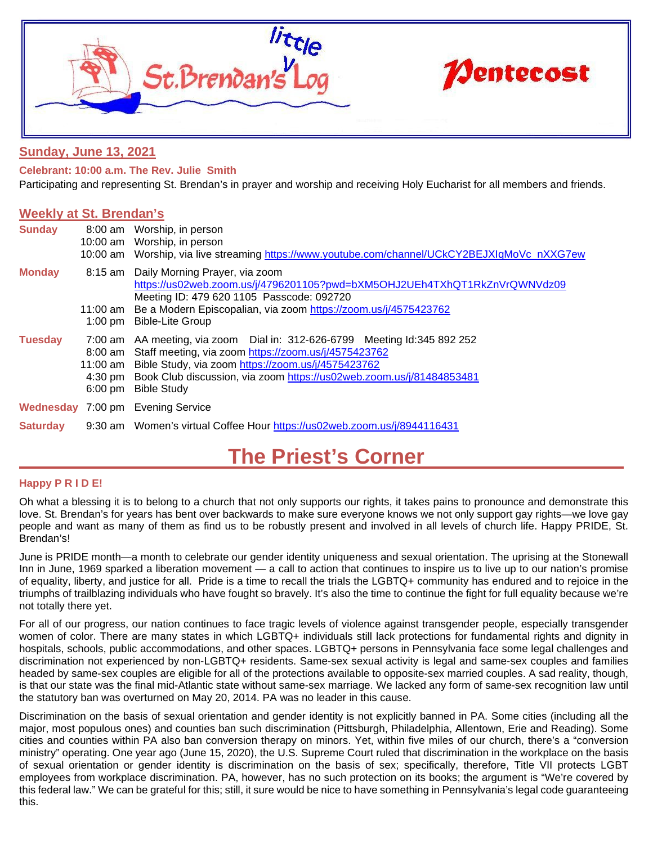

# **Sunday, June 13, 2021**

**Celebrant: 10:00 a.m. The Rev. Julie Smith**

Participating and representing St. Brendan's in prayer and worship and receiving Holy Eucharist for all members and friends.

## **Weekly at St. Brendan's**

| <b>Sunday</b>   |                   | 8:00 am Worship, in person<br>10:00 am Worship, in person<br>10:00 am Worship, via live streaming https://www.youtube.com/channel/UCkCY2BEJXIqMoVc_nXXG7ew                                                                                                                                                     |
|-----------------|-------------------|----------------------------------------------------------------------------------------------------------------------------------------------------------------------------------------------------------------------------------------------------------------------------------------------------------------|
| <b>Monday</b>   |                   | 8:15 am Daily Morning Prayer, via zoom<br>https://us02web.zoom.us/j/4796201105?pwd=bXM5OHJ2UEh4TXhQT1RkZnVrQWNVdz09<br>Meeting ID: 479 620 1105 Passcode: 092720<br>11:00 am Be a Modern Episcopalian, via zoom https://zoom.us/j/4575423762<br>1:00 pm Bible-Lite Group                                       |
| <b>Tuesday</b>  | $6:00 \text{ pm}$ | 7:00 am AA meeting, via zoom Dial in: 312-626-6799 Meeting Id:345 892 252<br>8:00 am Staff meeting, via zoom https://zoom.us/j/4575423762<br>11:00 am Bible Study, via zoom https://zoom.us/j/4575423762<br>4:30 pm Book Club discussion, via zoom https://us02web.zoom.us/j/81484853481<br><b>Bible Study</b> |
|                 |                   | <b>Wednesday 7:00 pm Evening Service</b>                                                                                                                                                                                                                                                                       |
| <b>Saturday</b> |                   | 9:30 am Women's virtual Coffee Hour https://us02web.zoom.us/j/8944116431                                                                                                                                                                                                                                       |

# **The Priest's Corner**

## **Happy P R I D E!**

Oh what a blessing it is to belong to a church that not only supports our rights, it takes pains to pronounce and demonstrate this love. St. Brendan's for years has bent over backwards to make sure everyone knows we not only support gay rights—we love gay people and want as many of them as find us to be robustly present and involved in all levels of church life. Happy PRIDE, St. Brendan's!

June is PRIDE month—a month to celebrate our gender identity uniqueness and sexual orientation. The uprising at the Stonewall Inn in June, 1969 sparked a liberation movement — a call to action that continues to inspire us to live up to our nation's promise of equality, liberty, and justice for all. Pride is a time to recall the trials the LGBTQ+ community has endured and to rejoice in the triumphs of trailblazing individuals who have fought so bravely. It's also the time to continue the fight for full equality because we're not totally there yet.

For all of our progress, our nation continues to face tragic levels of violence against transgender people, especially transgender women of color. There are many states in which LGBTQ+ individuals still lack protections for fundamental rights and dignity in hospitals, schools, public accommodations, and other spaces. LGBTQ+ persons in Pennsylvania face some legal challenges and discrimination not experienced by non-LGBTQ+ residents. Same-sex sexual activity is legal and same-sex couples and families headed by same-sex couples are eligible for all of the protections available to opposite-sex married couples. A sad reality, though, is that our state was the final mid-Atlantic state without same-sex marriage. We lacked any form of same-sex recognition law until the statutory ban was overturned on May 20, 2014. PA was no leader in this cause.

Discrimination on the basis of sexual orientation and gender identity is not explicitly banned in PA. Some cities (including all the major, most populous ones) and counties ban such discrimination (Pittsburgh, Philadelphia, Allentown, Erie and Reading). Some cities and counties within PA also ban conversion therapy on minors. Yet, within five miles of our church, there's a "conversion ministry" operating. One year ago (June 15, 2020), the U.S. Supreme Court ruled that discrimination in the workplace on the basis of sexual orientation or gender identity is discrimination on the basis of sex; specifically, therefore, Title VII protects LGBT employees from workplace discrimination. PA, however, has no such protection on its books; the argument is "We're covered by this federal law." We can be grateful for this; still, it sure would be nice to have something in Pennsylvania's legal code guaranteeing this.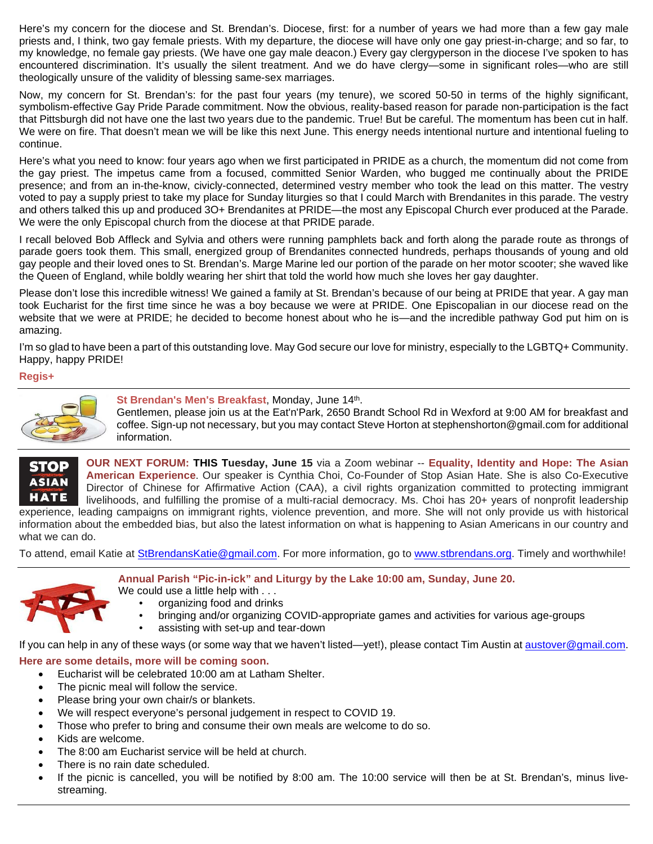Here's my concern for the diocese and St. Brendan's. Diocese, first: for a number of years we had more than a few gay male priests and, I think, two gay female priests. With my departure, the diocese will have only one gay priest-in-charge; and so far, to my knowledge, no female gay priests. (We have one gay male deacon.) Every gay clergyperson in the diocese I've spoken to has encountered discrimination. It's usually the silent treatment. And we do have clergy—some in significant roles—who are still theologically unsure of the validity of blessing same-sex marriages.

Now, my concern for St. Brendan's: for the past four years (my tenure), we scored 50-50 in terms of the highly significant, symbolism-effective Gay Pride Parade commitment. Now the obvious, reality-based reason for parade non-participation is the fact that Pittsburgh did not have one the last two years due to the pandemic. True! But be careful. The momentum has been cut in half. We were on fire. That doesn't mean we will be like this next June. This energy needs intentional nurture and intentional fueling to continue.

Here's what you need to know: four years ago when we first participated in PRIDE as a church, the momentum did not come from the gay priest. The impetus came from a focused, committed Senior Warden, who bugged me continually about the PRIDE presence; and from an in-the-know, civicly-connected, determined vestry member who took the lead on this matter. The vestry voted to pay a supply priest to take my place for Sunday liturgies so that I could March with Brendanites in this parade. The vestry and others talked this up and produced 3O+ Brendanites at PRIDE—the most any Episcopal Church ever produced at the Parade. We were the only Episcopal church from the diocese at that PRIDE parade.

I recall beloved Bob Affleck and Sylvia and others were running pamphlets back and forth along the parade route as throngs of parade goers took them. This small, energized group of Brendanites connected hundreds, perhaps thousands of young and old gay people and their loved ones to St. Brendan's. Marge Marine led our portion of the parade on her motor scooter; she waved like the Queen of England, while boldly wearing her shirt that told the world how much she loves her gay daughter.

Please don't lose this incredible witness! We gained a family at St. Brendan's because of our being at PRIDE that year. A gay man took Eucharist for the first time since he was a boy because we were at PRIDE. One Episcopalian in our diocese read on the website that we were at PRIDE; he decided to become honest about who he is—and the incredible pathway God put him on is amazing.

I'm so glad to have been a part of this outstanding love. May God secure our love for ministry, especially to the LGBTQ+ Community. Happy, happy PRIDE!

#### **Regis+**



St Brendan's Men's Breakfast, Monday, June 14th.

Gentlemen, please join us at the Eat'n'Park, 2650 Brandt School Rd in Wexford at 9:00 AM for breakfast and coffee. Sign-up not necessary, but you may contact Steve Horton at stephenshorton@gmail.com for additional information.

**OUR NEXT FORUM: THIS Tuesday, June 15** via a Zoom webinar -- **Equality, Identity and Hope: The Asian STOP American Experience**. Our speaker is Cynthia Choi, Co-Founder of Stop Asian Hate. She is also Co-Executive **ASIAN** Director of Chinese for Affirmative Action (CAA), a civil rights organization committed to protecting immigrant **HATE** livelihoods, and fulfilling the promise of a multi-racial democracy. Ms. Choi has 20+ years of nonprofit leadership experience, leading campaigns on immigrant rights, violence prevention, and more. She will not only provide us with historical

information about the embedded bias, but also the latest information on what is happening to Asian Americans in our country and what we can do.

To attend, email Katie at [StBrendansKatie@gmail.com.](mailto:StBrendansKatie@gmail.com) For more information, go to [www.stbrendans.org.](http://www.stbrendans.org/) Timely and worthwhile!





- We could use a little help with . . . • organizing food and drinks
	- bringing and/or organizing COVID-appropriate games and activities for various age-groups
	- assisting with set-up and tear-down

If you can help in any of these ways (or some way that we haven't listed—yet!), please contact Tim Austin a[t austover@gmail.com.](mailto:austover@gmail.com)

## **Here are some details, more will be coming soon.**

- Eucharist will be celebrated 10:00 am at Latham Shelter.
- The picnic meal will follow the service.
- Please bring your own chair/s or blankets.
- We will respect everyone's personal judgement in respect to COVID 19.
- Those who prefer to bring and consume their own meals are welcome to do so.
- Kids are welcome.
- The 8:00 am Eucharist service will be held at church.
- There is no rain date scheduled.
- If the picnic is cancelled, you will be notified by 8:00 am. The 10:00 service will then be at St. Brendan's, minus livestreaming.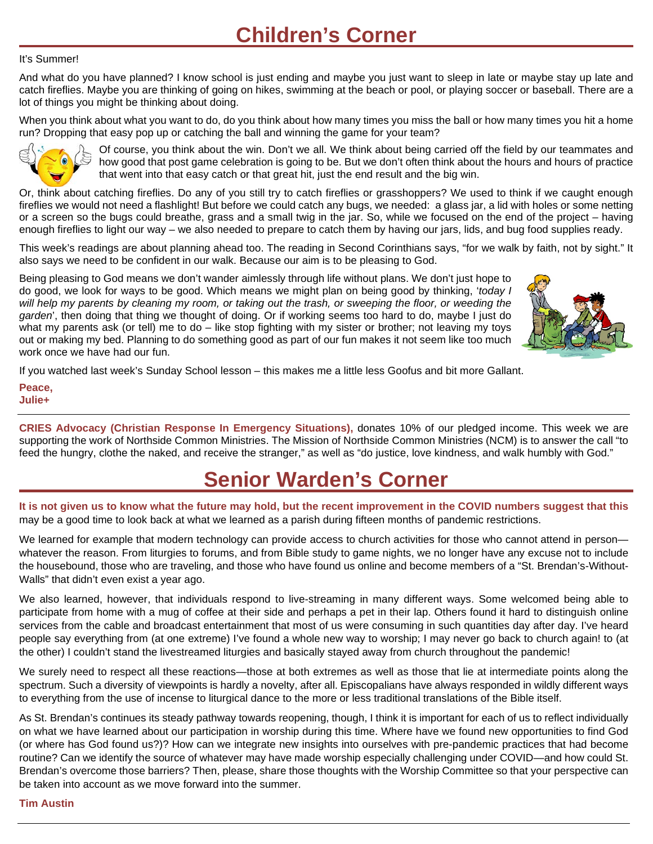## It's Summer!

And what do you have planned? I know school is just ending and maybe you just want to sleep in late or maybe stay up late and catch fireflies. Maybe you are thinking of going on hikes, swimming at the beach or pool, or playing soccer or baseball. There are a lot of things you might be thinking about doing.

When you think about what you want to do, do you think about how many times you miss the ball or how many times you hit a home run? Dropping that easy pop up or catching the ball and winning the game for your team?



Of course, you think about the win. Don't we all. We think about being carried off the field by our teammates and how good that post game celebration is going to be. But we don't often think about the hours and hours of practice that went into that easy catch or that great hit, just the end result and the big win.

Or, think about catching fireflies. Do any of you still try to catch fireflies or grasshoppers? We used to think if we caught enough fireflies we would not need a flashlight! But before we could catch any bugs, we needed: a glass jar, a lid with holes or some netting or a screen so the bugs could breathe, grass and a small twig in the jar. So, while we focused on the end of the project – having enough fireflies to light our way – we also needed to prepare to catch them by having our jars, lids, and bug food supplies ready.

This week's readings are about planning ahead too. The reading in Second Corinthians says, "for we walk by faith, not by sight." It also says we need to be confident in our walk. Because our aim is to be pleasing to God.

Being pleasing to God means we don't wander aimlessly through life without plans. We don't just hope to do good, we look for ways to be good. Which means we might plan on being good by thinking, '*today I will help my parents by cleaning my room, or taking out the trash, or sweeping the floor, or weeding the garden*', then doing that thing we thought of doing. Or if working seems too hard to do, maybe I just do what my parents ask (or tell) me to do – like stop fighting with my sister or brother; not leaving my toys out or making my bed. Planning to do something good as part of our fun makes it not seem like too much work once we have had our fun.



If you watched last week's Sunday School lesson – this makes me a little less Goofus and bit more Gallant.

**Peace, Julie+**

**CRIES Advocacy (Christian Response In Emergency Situations),** donates 10% of our pledged income. This week we are supporting the work of Northside Common Ministries. The Mission of Northside Common Ministries (NCM) is to answer the call "to feed the hungry, clothe the naked, and receive the stranger," as well as "do justice, love kindness, and walk humbly with God."

# **Senior Warden's Corner**

**It is not given us to know what the future may hold, but the recent improvement in the COVID numbers suggest that this**  may be a good time to look back at what we learned as a parish during fifteen months of pandemic restrictions.

We learned for example that modern technology can provide access to church activities for those who cannot attend in person whatever the reason. From liturgies to forums, and from Bible study to game nights, we no longer have any excuse not to include the housebound, those who are traveling, and those who have found us online and become members of a "St. Brendan's-Without-Walls" that didn't even exist a year ago.

We also learned, however, that individuals respond to live-streaming in many different ways. Some welcomed being able to participate from home with a mug of coffee at their side and perhaps a pet in their lap. Others found it hard to distinguish online services from the cable and broadcast entertainment that most of us were consuming in such quantities day after day. I've heard people say everything from (at one extreme) I've found a whole new way to worship; I may never go back to church again! to (at the other) I couldn't stand the livestreamed liturgies and basically stayed away from church throughout the pandemic!

We surely need to respect all these reactions—those at both extremes as well as those that lie at intermediate points along the spectrum. Such a diversity of viewpoints is hardly a novelty, after all. Episcopalians have always responded in wildly different ways to everything from the use of incense to liturgical dance to the more or less traditional translations of the Bible itself.

As St. Brendan's continues its steady pathway towards reopening, though, I think it is important for each of us to reflect individually on what we have learned about our participation in worship during this time. Where have we found new opportunities to find God (or where has God found us?)? How can we integrate new insights into ourselves with pre-pandemic practices that had become routine? Can we identify the source of whatever may have made worship especially challenging under COVID—and how could St. Brendan's overcome those barriers? Then, please, share those thoughts with the Worship Committee so that your perspective can be taken into account as we move forward into the summer.

## **Tim Austin**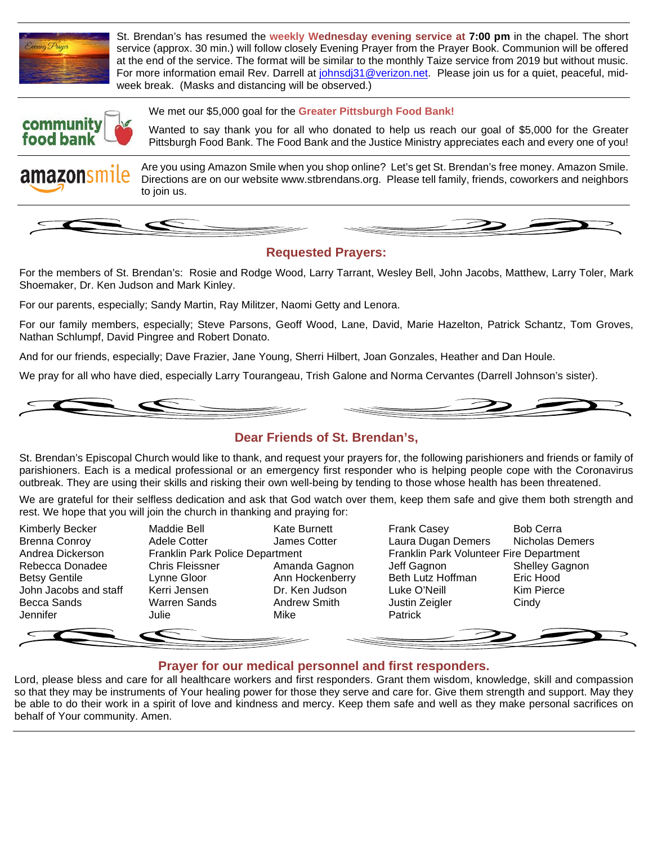

St. Brendan's has resumed the **weekly Wednesday evening service at 7:00 pm** in the chapel. The short service (approx. 30 min.) will follow closely Evening Prayer from the Prayer Book. Communion will be offered at the end of the service. The format will be similar to the monthly Taize service from 2019 but without music. For more information email Rev. Darrell at [johnsdj31@verizon.net.](mailto:johnsdj31@verizon.net) Please join us for a quiet, peaceful, midweek break. (Masks and distancing will be observed.)



We met our \$5,000 goal for the **Greater Pittsburgh Food Bank!**

Wanted to say thank you for all who donated to help us reach our goal of \$5,000 for the Greater Pittsburgh Food Bank. The Food Bank and the Justice Ministry appreciates each and every one of you!

Are you using Amazon Smile when you shop online? Let's get St. Brendan's free money. Amazon Smile. amazonsn Directions are on our website www.stbrendans.org. Please tell family, friends, coworkers and neighbors to join us.



# **Requested Prayers:**

For the members of St. Brendan's: Rosie and Rodge Wood, Larry Tarrant, Wesley Bell, John Jacobs, Matthew, Larry Toler, Mark Shoemaker, Dr. Ken Judson and Mark Kinley.

For our parents, especially; Sandy Martin, Ray Militzer, Naomi Getty and Lenora.

For our family members, especially; Steve Parsons, Geoff Wood, Lane, David, Marie Hazelton, Patrick Schantz, Tom Groves, Nathan Schlumpf, David Pingree and Robert Donato.

And for our friends, especially; Dave Frazier, Jane Young, Sherri Hilbert, Joan Gonzales, Heather and Dan Houle.

We pray for all who have died, especially Larry Tourangeau, Trish Galone and Norma Cervantes (Darrell Johnson's sister).



# **Dear Friends of St. Brendan's,**

St. Brendan's Episcopal Church would like to thank, and request your prayers for, the following parishioners and friends or family of parishioners. Each is a medical professional or an emergency first responder who is helping people cope with the Coronavirus outbreak. They are using their skills and risking their own well-being by tending to those whose health has been threatened.

We are grateful for their selfless dedication and ask that God watch over them, keep them safe and give them both strength and rest. We hope that you will join the church in thanking and praying for:

John Jacobs and staff Kerri Jensen Dr. Ken Judson Luke O'Neill Jennifer Julie Mike Patrick

Kimberly Becker **Maddie Bell** Kate Burnett **Frank Casey** Bob Cerra Brenna Conroy **Adele Cotter** James Cotter Laura Dugan Demers Nicholas Demers Andrea Dickerson Franklin Park Police Department Franklin Park Volunteer Fire Department Rebecca Donadee Chris Fleissner Amanda Gagnon Jeff Gagnon Shelley Gagnon<br>Betsy Gentile Clynne Gloor Ann Hockenberry Beth Lutz Hoffman Eric Hood Betsy Gentile Lynne Gloor Ann Hockenberry Beth Lutz Hoffman Eric Hood Becca Sands Warren Sands Andrew Smith Justin Zeigler Cindy

# **Prayer for our medical personnel and first responders.**

Lord, please bless and care for all healthcare workers and first responders. Grant them wisdom, knowledge, skill and compassion so that they may be instruments of Your healing power for those they serve and care for. Give them strength and support. May they be able to do their work in a spirit of love and kindness and mercy. Keep them safe and well as they make personal sacrifices on behalf of Your community. Amen.